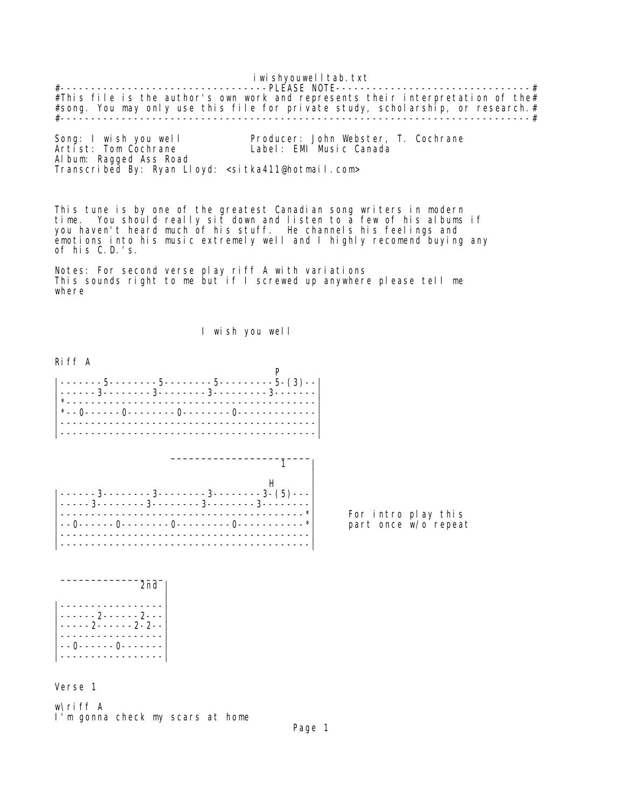iwishyouwelltab.txt

#----------------------------------PLEASE NOTE--------------------------------# #This file is the author's own work and represents their interpretation of the# #song. You may only use this file for private study, scholarship, or research.# #-----------------------------------------------------------------------------#

Producer: John Webster, T. Cochrane<br>Label: EMI Music Canada Song: I wish you well<br>Artist: Tom Cochrane Album: Ragged Ass Road Transcribed By: Ryan Lloyd: <sitka411@hotmail.com>

This tune is by one of the greatest Canadian song writers in modern time. You should really sit down and listen to a few of his albums if you haven't heard much of his stuff. He channels his feelings and emotions into his music extremely well and I highly recomend buying any of his C.D.'s.

Notes: For second verse play riff A with variations This sounds right to me but if I screwed up anywhere please tell me where

I wish you well

Riff A





Verse 1

w\riff A I'm gonna check my scars at home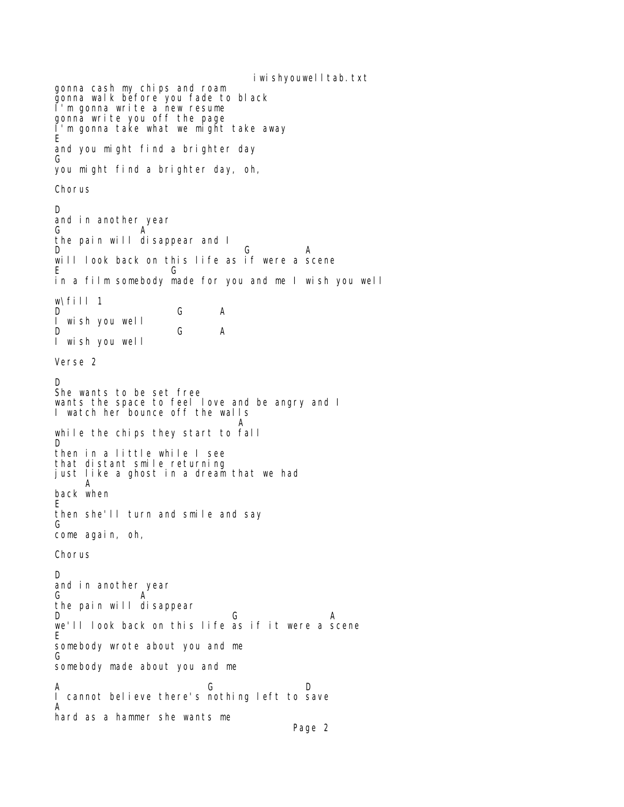i wishyouwell tab.txt gonna cash my chips and roam gonna walk before you fade to black I'm gonna write a new resume gonna write you off the page I'm gonna take what we might take away E and you might find a brighter day G you might find a brighter day, oh, Chorus D and in another year G A the pain will disappear and I D G A will look back on this life as if were a scene E G in a film somebody made for you and me I wish you well w\fill 1 D G A I wish you well D G A I wish you well Verse 2 D She wants to be set free wants the space to feel love and be angry and I I watch her bounce off the walls A while the chips they start to fall D then in a little while I see that distant smile returning just like a ghost in a dream that we had A back when E then she'll turn and smile and say G come again, oh, Chorus D and in another year G A the pain will disappear D G A we'll look back on this life as if it were a scene E somebody wrote about you and me G somebody made about you and me A G D I cannot believe there's nothing left to save A hard as a hammer she wants me Page 2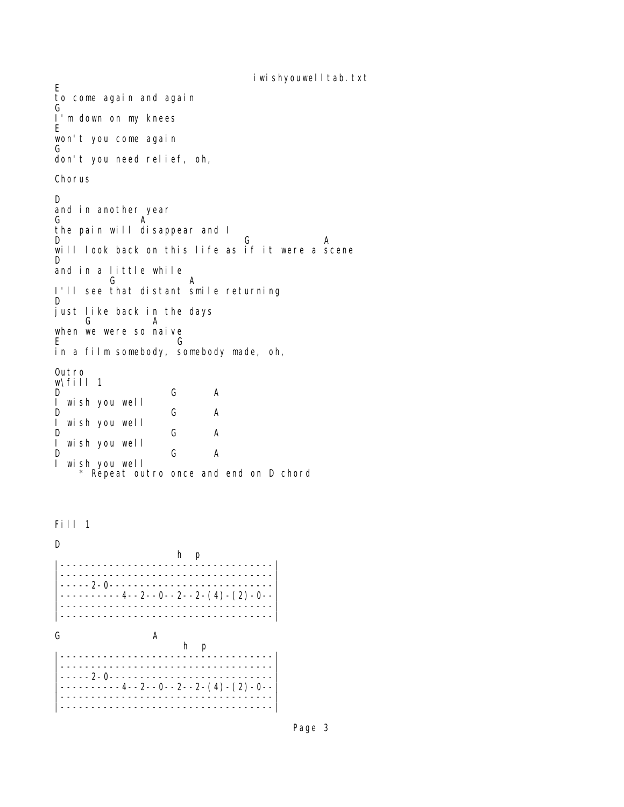```
i wishyouwell tab.txt
E
to come again and again
G
I'm down on my knees
E
won't you come again
G
don't you need relief, oh,
Chorus
D
and in another year
G A
the pain will disappear and I
D G A
will look back on this life as if it were a scene
D
and in a little while
 G A
I'll see that distant smile returning
D
just like back in the days
 G A
when we were so naive
E G
in a film somebody, somebody made, oh,
Outro
w\fill 1
D G A
I wish you well
D G A
I wish you well
D G A
I wish you well
D G A
I wish you well
    * Repeat outro once and end on D chord
```
Fill 1